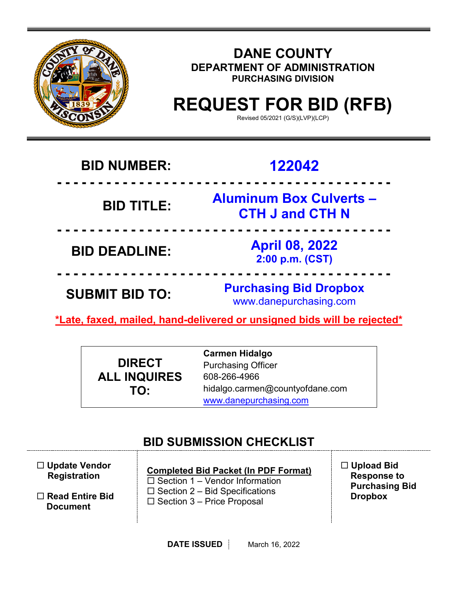

# **DANE COUNTY DEPARTMENT OF ADMINISTRATION PURCHASING DIVISION**

# **REQUEST FOR BID (RFB)**

Revised 05/2021 (G/S)(LVP)(LCP)

# **BID NUMBER: 122042**

# **BID TITLE:**

 **- - - - - - - - - - - - - - - - - - - - - - - - - - - - - - - - - - - - - - - - - Aluminum Box Culverts – CTH J and CTH N**

 **- - - - - - - - - - - - - - - - - - - - - - - - - - - - - - - - - - - - - - - - - BID DEADLINE: April 08, 2022 2:00 p.m. (CST)**

**SUBMIT BID TO: Purchasing Bid Dropbox** www.danepurchasing.com

**\*Late, faxed, mailed, hand-delivered or unsigned bids will be rejected\*** 

 **- - - - - - - - - - - - - - - - - - - - - - - - - - - - - - - - - - - - - - - - -**

|                     | <b>Carmen Hidalgo</b>           |
|---------------------|---------------------------------|
| <b>DIRECT</b>       | <b>Purchasing Officer</b>       |
| <b>ALL INQUIRES</b> | 608-266-4966                    |
| TO:                 | hidalgo.carmen@countyofdane.com |
|                     | www.danepurchasing.com          |

# **BID SUBMISSION CHECKLIST**

 **Update Vendor Registration**

 **Read Entire Bid Document**

**Completed Bid Packet (In PDF Format)**  $\square$  Section 1 – Vendor Information  $\square$  Section 2 – Bid Specifications  $\square$  Section 3 – Price Proposal

 **Upload Bid Response to Purchasing Bid Dropbox**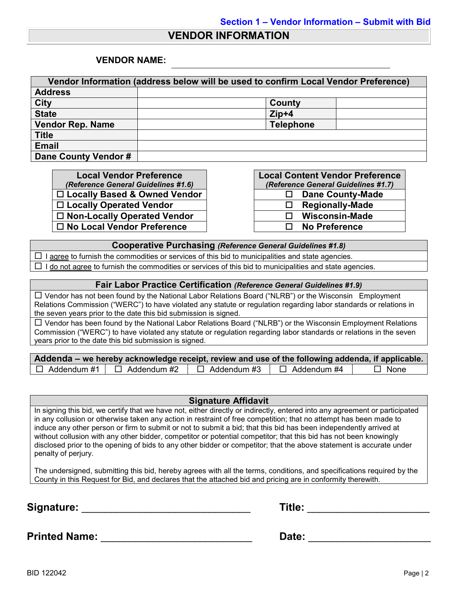### **VENDOR INFORMATION**

#### **VENDOR NAME:**

| Vendor Information (address below will be used to confirm Local Vendor Preference) |                  |  |  |
|------------------------------------------------------------------------------------|------------------|--|--|
| <b>Address</b>                                                                     |                  |  |  |
| <b>City</b>                                                                        | County           |  |  |
| <b>State</b>                                                                       | $Zip+4$          |  |  |
| <b>Vendor Rep. Name</b>                                                            | <b>Telephone</b> |  |  |
| <b>Title</b>                                                                       |                  |  |  |
| <b>Email</b>                                                                       |                  |  |  |
| Dane County Vendor #                                                               |                  |  |  |

**Local Vendor Preference** *(Reference General Guidelines #1.6)* □ Locally Based & Owned Vendor **Locally Operated Vendor □ Non-Locally Operated Vendor No Local Vendor Preference No Preference**

| <b>Local Content Vendor Preference</b> |                       |  |  |
|----------------------------------------|-----------------------|--|--|
| (Reference General Guidelines #1.7)    |                       |  |  |
| <b>Dane County-Made</b><br>ப           |                       |  |  |
| <b>Regionally-Made</b><br>ΙI           |                       |  |  |
| LΙ                                     | <b>Wisconsin-Made</b> |  |  |
| LΙ                                     | <b>No Preference</b>  |  |  |

#### **Cooperative Purchasing** *(Reference General Guidelines #1.8)*

 $\Box$  I agree to furnish the commodities or services of this bid to municipalities and state agencies.  $\Box$  I do not agree to furnish the commodities or services of this bid to municipalities and state agencies.

#### **Fair Labor Practice Certification** *(Reference General Guidelines #1.9)*

 Vendor has not been found by the National Labor Relations Board ("NLRB") or the Wisconsin Employment Relations Commission ("WERC") to have violated any statute or regulation regarding labor standards or relations in the seven years prior to the date this bid submission is signed.

 $\Box$  Vendor has been found by the National Labor Relations Board ("NLRB") or the Wisconsin Employment Relations Commission ("WERC") to have violated any statute or regulation regarding labor standards or relations in the seven years prior to the date this bid submission is signed.

| Addenda – we hereby acknowledge receipt, review and use of the following addenda, if applicable. |                    |                    |             |
|--------------------------------------------------------------------------------------------------|--------------------|--------------------|-------------|
| $\Box$ Addendum #1 $\Box$ Addendum #2                                                            | $\Box$ Addendum #3 | $\Box$ Addendum #4 | $\Box$ None |

#### **Signature Affidavit**

In signing this bid, we certify that we have not, either directly or indirectly, entered into any agreement or participated in any collusion or otherwise taken any action in restraint of free competition; that no attempt has been made to induce any other person or firm to submit or not to submit a bid; that this bid has been independently arrived at without collusion with any other bidder, competitor or potential competitor; that this bid has not been knowingly disclosed prior to the opening of bids to any other bidder or competitor; that the above statement is accurate under penalty of perjury.

The undersigned, submitting this bid, hereby agrees with all the terms, conditions, and specifications required by the County in this Request for Bid, and declares that the attached bid and pricing are in conformity therewith.

**Signature:** \_\_\_\_\_\_\_\_\_\_\_\_\_\_\_\_\_\_\_\_\_\_\_\_\_\_\_\_\_ **Title:** \_\_\_\_\_\_\_\_\_\_\_\_\_\_\_\_\_\_\_\_\_

| Title: |  |
|--------|--|
|        |  |

**Printed Name:** \_\_\_\_\_\_\_\_\_\_\_\_\_\_\_\_\_\_\_\_\_\_\_\_\_\_ **Date:** \_\_\_\_\_\_\_\_\_\_\_\_\_\_\_\_\_\_\_\_\_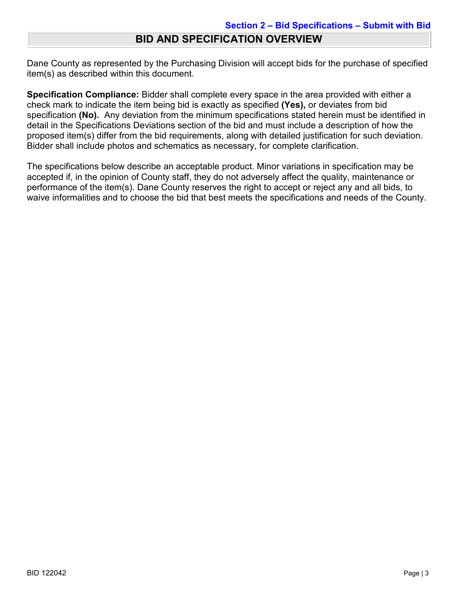Dane County as represented by the Purchasing Division will accept bids for the purchase of specified item(s) as described within this document.

**Specification Compliance:** Bidder shall complete every space in the area provided with either a check mark to indicate the item being bid is exactly as specified **(Yes),** or deviates from bid specification **(No).** Any deviation from the minimum specifications stated herein must be identified in detail in the Specifications Deviations section of the bid and must include a description of how the proposed item(s) differ from the bid requirements, along with detailed justification for such deviation. Bidder shall include photos and schematics as necessary, for complete clarification.

The specifications below describe an acceptable product. Minor variations in specification may be accepted if, in the opinion of County staff, they do not adversely affect the quality, maintenance or performance of the item(s). Dane County reserves the right to accept or reject any and all bids, to waive informalities and to choose the bid that best meets the specifications and needs of the County.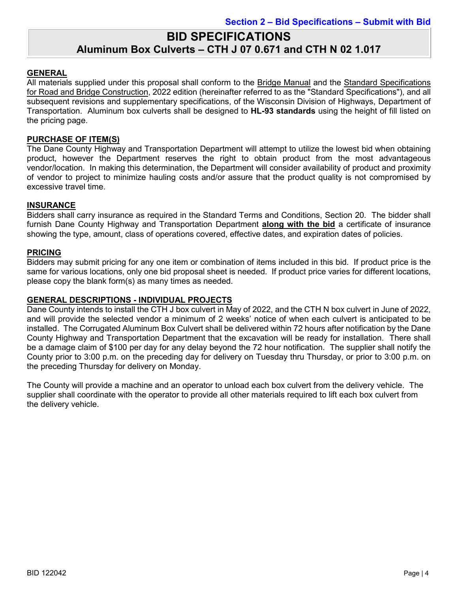## **BID SPECIFICATIONS Aluminum Box Culverts – CTH J 07 0.671 and CTH N 02 1.017**

#### **GENERAL**

All materials supplied under this proposal shall conform to the Bridge Manual and the Standard Specifications for Road and Bridge Construction, 2022 edition (hereinafter referred to as the "Standard Specifications"), and all subsequent revisions and supplementary specifications, of the Wisconsin Division of Highways, Department of Transportation. Aluminum box culverts shall be designed to **HL-93 standards** using the height of fill listed on the pricing page.

#### **PURCHASE OF ITEM(S)**

The Dane County Highway and Transportation Department will attempt to utilize the lowest bid when obtaining product, however the Department reserves the right to obtain product from the most advantageous vendor/location. In making this determination, the Department will consider availability of product and proximity of vendor to project to minimize hauling costs and/or assure that the product quality is not compromised by excessive travel time.

#### **INSURANCE**

Bidders shall carry insurance as required in the Standard Terms and Conditions, Section 20. The bidder shall furnish Dane County Highway and Transportation Department **along with the bid** a certificate of insurance showing the type, amount, class of operations covered, effective dates, and expiration dates of policies.

#### **PRICING**

Bidders may submit pricing for any one item or combination of items included in this bid. If product price is the same for various locations, only one bid proposal sheet is needed. If product price varies for different locations, please copy the blank form(s) as many times as needed.

#### **GENERAL DESCRIPTIONS - INDIVIDUAL PROJECTS**

Dane County intends to install the CTH J box culvert in May of 2022, and the CTH N box culvert in June of 2022, and will provide the selected vendor a minimum of 2 weeks' notice of when each culvert is anticipated to be installed. The Corrugated Aluminum Box Culvert shall be delivered within 72 hours after notification by the Dane County Highway and Transportation Department that the excavation will be ready for installation. There shall be a damage claim of \$100 per day for any delay beyond the 72 hour notification. The supplier shall notify the County prior to 3:00 p.m. on the preceding day for delivery on Tuesday thru Thursday, or prior to 3:00 p.m. on the preceding Thursday for delivery on Monday.

The County will provide a machine and an operator to unload each box culvert from the delivery vehicle. The supplier shall coordinate with the operator to provide all other materials required to lift each box culvert from the delivery vehicle.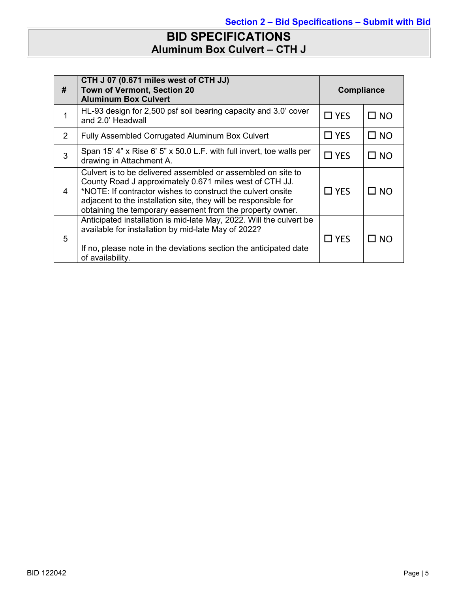# **BID SPECIFICATIONS Aluminum Box Culvert – CTH J**

| #             | CTH J 07 (0.671 miles west of CTH JJ)<br>Town of Vermont, Section 20<br><b>Aluminum Box Culvert</b>                                                                                                                                                                                                                    | <b>Compliance</b> |              |
|---------------|------------------------------------------------------------------------------------------------------------------------------------------------------------------------------------------------------------------------------------------------------------------------------------------------------------------------|-------------------|--------------|
| 1             | HL-93 design for 2,500 psf soil bearing capacity and 3.0' cover<br>and 2.0' Headwall                                                                                                                                                                                                                                   | $\Box$ YES        | $\square$ NO |
| $\mathcal{P}$ | Fully Assembled Corrugated Aluminum Box Culvert                                                                                                                                                                                                                                                                        | $\Box$ YES        | $\square$ NO |
| 3             | Span 15' 4" x Rise 6' 5" x 50.0 L.F. with full invert, toe walls per<br>drawing in Attachment A.                                                                                                                                                                                                                       | $\Box$ YES        | $\square$ NO |
| 4             | Culvert is to be delivered assembled or assembled on site to<br>County Road J approximately 0.671 miles west of CTH JJ.<br>*NOTE: If contractor wishes to construct the culvert onsite<br>adjacent to the installation site, they will be responsible for<br>obtaining the temporary easement from the property owner. | $\Box$ YES        | $\square$ NO |
| 5             | Anticipated installation is mid-late May, 2022. Will the culvert be<br>available for installation by mid-late May of 2022?<br>If no, please note in the deviations section the anticipated date<br>of availability.                                                                                                    | $\Box$ YES        | LI NO        |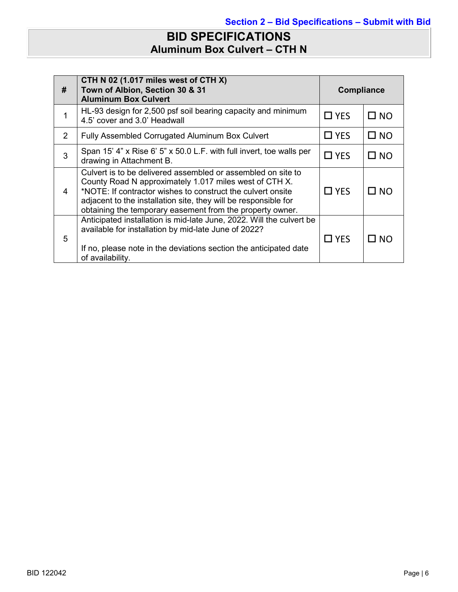# **BID SPECIFICATIONS Aluminum Box Culvert – CTH N**

| #             | CTH N 02 (1.017 miles west of CTH X)<br>Town of Albion, Section 30 & 31<br><b>Aluminum Box Culvert</b>                                                                                                                                                                                                                | <b>Compliance</b> |              |
|---------------|-----------------------------------------------------------------------------------------------------------------------------------------------------------------------------------------------------------------------------------------------------------------------------------------------------------------------|-------------------|--------------|
| 1             | HL-93 design for 2,500 psf soil bearing capacity and minimum<br>4.5' cover and 3.0' Headwall                                                                                                                                                                                                                          | $\Box$ YES        | $\square$ NO |
| $\mathcal{P}$ | Fully Assembled Corrugated Aluminum Box Culvert                                                                                                                                                                                                                                                                       | $\Box$ YES        | $\square$ NO |
| 3             | Span 15' 4" x Rise 6' 5" x 50.0 L.F. with full invert, toe walls per<br>drawing in Attachment B.                                                                                                                                                                                                                      | $\Box$ YES        | $\square$ NO |
| 4             | Culvert is to be delivered assembled or assembled on site to<br>County Road N approximately 1.017 miles west of CTH X.<br>*NOTE: If contractor wishes to construct the culvert onsite<br>adjacent to the installation site, they will be responsible for<br>obtaining the temporary easement from the property owner. | $\Box$ YES        | $\square$ NO |
| 5             | Anticipated installation is mid-late June, 2022. Will the culvert be<br>available for installation by mid-late June of 2022?<br>If no, please note in the deviations section the anticipated date<br>of availability.                                                                                                 | $\Box$ YES        | LI NO        |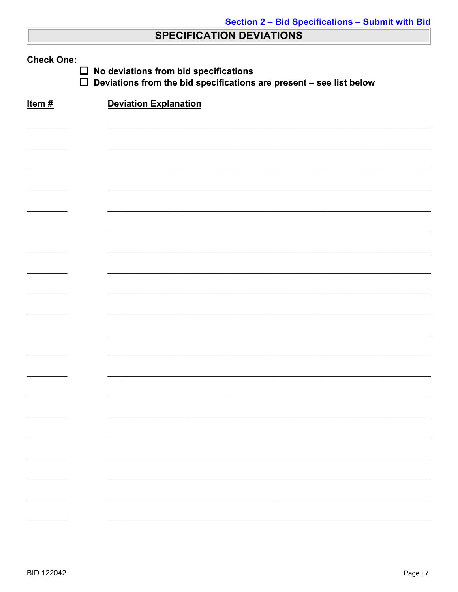# **SPECIFICATION DEVIATIONS**

| <b>Check One:</b><br>No deviations from bid specifications<br>$\Box$<br>$\Box$<br>Deviations from the bid specifications are present - see list below |                              |  |  |  |
|-------------------------------------------------------------------------------------------------------------------------------------------------------|------------------------------|--|--|--|
| Item#                                                                                                                                                 | <b>Deviation Explanation</b> |  |  |  |
|                                                                                                                                                       |                              |  |  |  |
|                                                                                                                                                       |                              |  |  |  |
|                                                                                                                                                       |                              |  |  |  |
|                                                                                                                                                       |                              |  |  |  |
|                                                                                                                                                       |                              |  |  |  |
|                                                                                                                                                       |                              |  |  |  |
|                                                                                                                                                       |                              |  |  |  |
|                                                                                                                                                       |                              |  |  |  |
|                                                                                                                                                       |                              |  |  |  |
|                                                                                                                                                       |                              |  |  |  |
|                                                                                                                                                       |                              |  |  |  |
|                                                                                                                                                       |                              |  |  |  |
|                                                                                                                                                       |                              |  |  |  |
|                                                                                                                                                       |                              |  |  |  |
|                                                                                                                                                       |                              |  |  |  |
|                                                                                                                                                       |                              |  |  |  |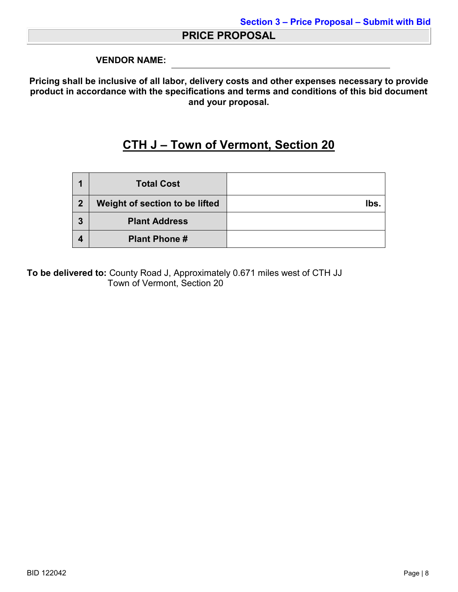### **PRICE PROPOSAL**

#### **VENDOR NAME:**

**Pricing shall be inclusive of all labor, delivery costs and other expenses necessary to provide product in accordance with the specifications and terms and conditions of this bid document and your proposal.**

# **CTH J – Town of Vermont, Section 20**

|                | <b>Total Cost</b>              |     |
|----------------|--------------------------------|-----|
| $\overline{2}$ | Weight of section to be lifted | lbs |
| 3              | <b>Plant Address</b>           |     |
|                | <b>Plant Phone #</b>           |     |

**To be delivered to:** County Road J, Approximately 0.671 miles west of CTH JJ Town of Vermont, Section 20